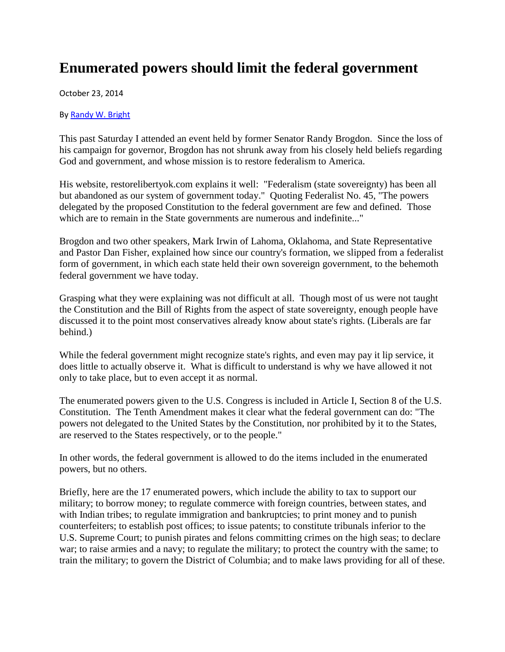## **Enumerated powers should limit the federal government**

October 23, 2014

By [Randy W. Bright](http://www.tulsabeacon.com/author/slug-o6yd1v)

This past Saturday I attended an event held by former Senator Randy Brogdon. Since the loss of his campaign for governor, Brogdon has not shrunk away from his closely held beliefs regarding God and government, and whose mission is to restore federalism to America.

His website, restorelibertyok.com explains it well: "Federalism (state sovereignty) has been all but abandoned as our system of government today." Quoting Federalist No. 45, "The powers delegated by the proposed Constitution to the federal government are few and defined. Those which are to remain in the State governments are numerous and indefinite..."

Brogdon and two other speakers, Mark Irwin of Lahoma, Oklahoma, and State Representative and Pastor Dan Fisher, explained how since our country's formation, we slipped from a federalist form of government, in which each state held their own sovereign government, to the behemoth federal government we have today.

Grasping what they were explaining was not difficult at all. Though most of us were not taught the Constitution and the Bill of Rights from the aspect of state sovereignty, enough people have discussed it to the point most conservatives already know about state's rights. (Liberals are far behind.)

While the federal government might recognize state's rights, and even may pay it lip service, it does little to actually observe it. What is difficult to understand is why we have allowed it not only to take place, but to even accept it as normal.

The enumerated powers given to the U.S. Congress is included in Article I, Section 8 of the U.S. Constitution. The Tenth Amendment makes it clear what the federal government can do: "The powers not delegated to the United States by the Constitution, nor prohibited by it to the States, are reserved to the States respectively, or to the people."

In other words, the federal government is allowed to do the items included in the enumerated powers, but no others.

Briefly, here are the 17 enumerated powers, which include the ability to tax to support our military; to borrow money; to regulate commerce with foreign countries, between states, and with Indian tribes; to regulate immigration and bankruptcies; to print money and to punish counterfeiters; to establish post offices; to issue patents; to constitute tribunals inferior to the U.S. Supreme Court; to punish pirates and felons committing crimes on the high seas; to declare war; to raise armies and a navy; to regulate the military; to protect the country with the same; to train the military; to govern the District of Columbia; and to make laws providing for all of these.